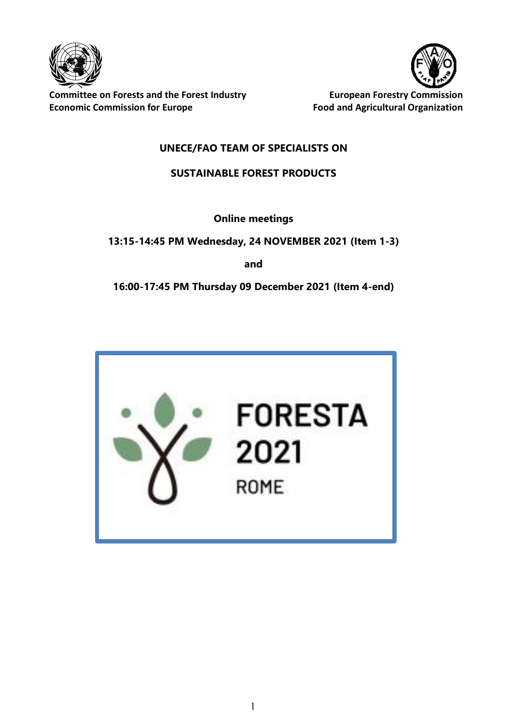

**Committee on Forests and the Forest Industry <b>EUT COMMISS** European Forestry Commission **Economic Commission for Europe Food and Agricultural Organization**



# **UNECE/FAO TEAM OF SPECIALISTS ON**

# **SUSTAINABLE FOREST PRODUCTS**

**Online meetings**

**13:15-14:45 PM Wednesday, 24 NOVEMBER 2021 (Item 1-3)**

**and** 

**16:00-17:45 PM Thursday 09 December 2021 (Item 4-end)**

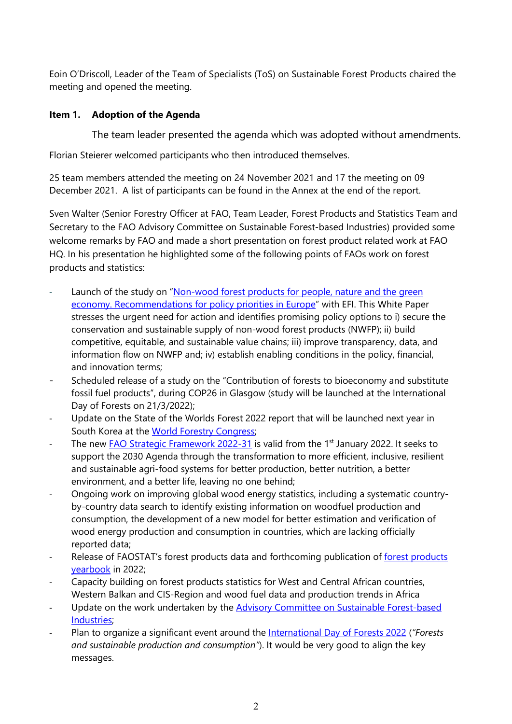Eoin O'Driscoll, Leader of the Team of Specialists (ToS) on Sustainable Forest Products chaired the meeting and opened the meeting.

### **Item 1. Adoption of the Agenda**

The team leader presented the agenda which was adopted without amendments.

Florian Steierer welcomed participants who then introduced themselves.

25 team members attended the meeting on 24 November 2021 and 17 the meeting on 09 December 2021. A list of participants can be found in the Annex at the end of the report.

Sven Walter (Senior Forestry Officer at FAO, Team Leader, Forest Products and Statistics Team and Secretary to the FAO Advisory Committee on Sustainable Forest-based Industries) provided some welcome remarks by FAO and made a short presentation on forest product related work at FAO HQ. In his presentation he highlighted some of the following points of FAOs work on forest products and statistics:

- Launch of the study on "Non-wood forest products for people, nature and the green [economy. Recommendations for policy priorities in Europe"](https://www.fao.org/publications/card/en/c/CB5799EN/) with EFI. This White Paper stresses the urgent need for action and identifies promising policy options to i) secure the conservation and sustainable supply of non-wood forest products (NWFP); ii) build competitive, equitable, and sustainable value chains; iii) improve transparency, data, and information flow on NWFP and; iv) establish enabling conditions in the policy, financial, and innovation terms;
- Scheduled release of a study on the "Contribution of forests to bioeconomy and substitute fossil fuel products", during COP26 in Glasgow (study will be launched at the International Day of Forests on 21/3/2022);
- Update on the State of the Worlds Forest 2022 report that will be launched next year in South Korea at the [World Forestry Congress;](https://wfc2021korea.org/index.html)
- The new [FAO Strategic Framework](https://www.fao.org/strategic-framework/en) 2022-31 is valid from the 1<sup>st</sup> January 2022. It seeks to support the 2030 Agenda through the transformation to more efficient, inclusive, resilient and sustainable agri-food systems for better production, better nutrition, a better environment, and a better life, leaving no one behind;
- Ongoing work on improving global wood energy statistics, including a systematic countryby-country data search to identify existing information on woodfuel production and consumption, the development of a new model for better estimation and verification of wood energy production and consumption in countries, which are lacking officially reported data;
- Release of FAOSTAT's [forest products](https://www.fao.org/forestry/statistics/80570/en/) data and forthcoming publication of forest products [yearbook](https://www.fao.org/forestry/statistics/80570/en/) in 2022;
- [Capacity building](https://www.fao.org/forestry/statistics/80563/en/) on forest products statistics for West and Central African countries, Western Balkan and CIS-Region and [wood fuel data and production trends in Africa](https://www.fao.org/forestry/statistics/80563/en/)
- Update on the work undertaken by the Advisory Committee on Sustainable Forest-based [Industries;](https://www.fao.org/forestry/industries/en/)
- Plan to organize a significant event around the [International Day of](https://www.fao.org/international-day-of-forests/en/) Forests 2022 (*"Forests and sustainable production and consumption"*). It would be very good to align the key messages.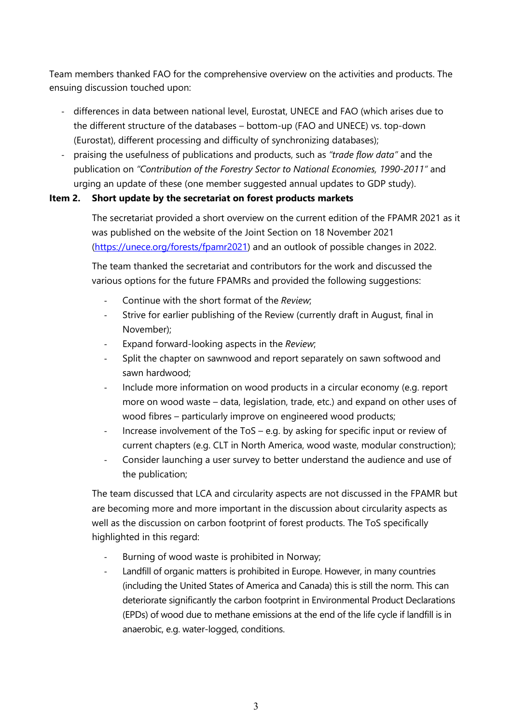Team members thanked FAO for the comprehensive overview on the activities and products. The ensuing discussion touched upon:

- differences in data between national level, Eurostat, UNECE and FAO (which arises due to the different structure of the databases – bottom-up (FAO and UNECE) vs. top-down (Eurostat), different processing and difficulty of synchronizing databases);
- praising the usefulness of publications and products, such as *"trade flow data"* and the publication on *"Contribution of the Forestry Sector to National Economies, 1990-2011"* and urging an update of these (one member suggested annual updates to GDP study).

#### **Item 2. Short update by the secretariat on forest products markets**

The secretariat provided a short overview on the current edition of the FPAMR 2021 as it was published on the website of the Joint Section on 18 November 2021 [\(https://unece.org/forests/fpamr2021\)](https://unece.org/forests/fpamr2021) and an outlook of possible changes in 2022.

The team thanked the secretariat and contributors for the work and discussed the various options for the future FPAMRs and provided the following suggestions:

- Continue with the short format of the *Review*;
- Strive for earlier publishing of the Review (currently draft in August, final in November);
- Expand forward-looking aspects in the *Review*;
- Split the chapter on sawnwood and report separately on sawn softwood and sawn hardwood;
- Include more information on wood products in a circular economy (e.g. report more on wood waste – data, legislation, trade, etc.) and expand on other uses of wood fibres – particularly improve on engineered wood products;
- Increase involvement of the ToS e.g. by asking for specific input or review of current chapters (e.g. CLT in North America, wood waste, modular construction);
- Consider launching a user survey to better understand the audience and use of the publication;

The team discussed that LCA and circularity aspects are not discussed in the FPAMR but are becoming more and more important in the discussion about circularity aspects as well as the discussion on carbon footprint of forest products. The ToS specifically highlighted in this regard:

- Burning of wood waste is prohibited in Norway;
- Landfill of organic matters is prohibited in Europe. However, in many countries (including the United States of America and Canada) this is still the norm. This can deteriorate significantly the carbon footprint in Environmental Product Declarations (EPDs) of wood due to methane emissions at the end of the life cycle if landfill is in anaerobic, e.g. water-logged, conditions.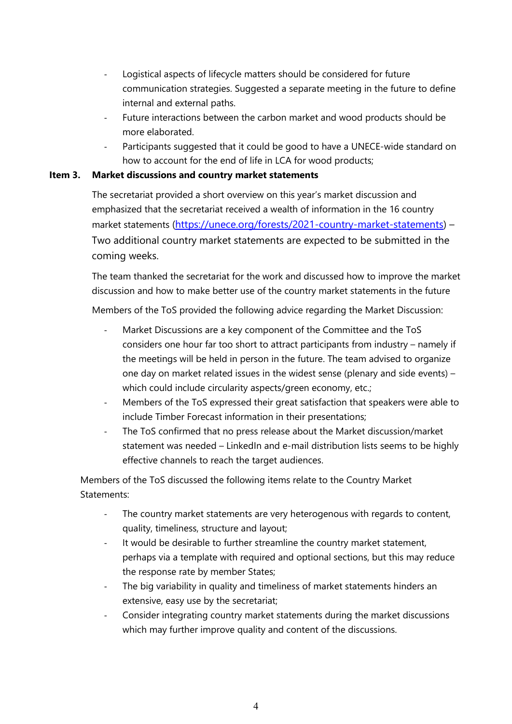- Logistical aspects of lifecycle matters should be considered for future communication strategies. Suggested a separate meeting in the future to define internal and external paths.
- Future interactions between the carbon market and wood products should be more elaborated.
- Participants suggested that it could be good to have a UNECE-wide standard on how to account for the end of life in LCA for wood products;

# **Item 3. Market discussions and country market statements**

The secretariat provided a short overview on this year's market discussion and emphasized that the secretariat received a wealth of information in the 16 country market statements [\(https://unece.org/forests/2021-country-market-statements\)](https://unece.org/forests/2021-country-market-statements) -Two additional country market statements are expected to be submitted in the coming weeks.

The team thanked the secretariat for the work and discussed how to improve the market discussion and how to make better use of the country market statements in the future

Members of the ToS provided the following advice regarding the Market Discussion:

- Market Discussions are a key component of the Committee and the ToS considers one hour far too short to attract participants from industry – namely if the meetings will be held in person in the future. The team advised to organize one day on market related issues in the widest sense (plenary and side events) – which could include circularity aspects/green economy, etc.;
- Members of the ToS expressed their great satisfaction that speakers were able to include Timber Forecast information in their presentations;
- The ToS confirmed that no press release about the Market discussion/market statement was needed – LinkedIn and e-mail distribution lists seems to be highly effective channels to reach the target audiences.

Members of the ToS discussed the following items relate to the Country Market Statements:

- The country market statements are very heterogenous with regards to content, quality, timeliness, structure and layout;
- It would be desirable to further streamline the country market statement, perhaps via a template with required and optional sections, but this may reduce the response rate by member States;
- The big variability in quality and timeliness of market statements hinders an extensive, easy use by the secretariat;
- Consider integrating country market statements during the market discussions which may further improve quality and content of the discussions.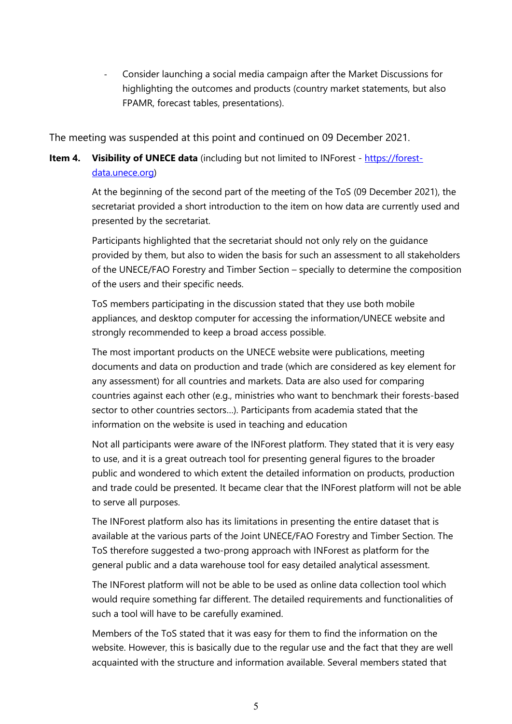- Consider launching a social media campaign after the Market Discussions for highlighting the outcomes and products (country market statements, but also FPAMR, forecast tables, presentations).

The meeting was suspended at this point and continued on 09 December 2021.

# **Item 4. Visibility of UNECE data** (including but not limited to INForest - [https://forest](https://forest-data.unece.org/)[data.unece.org\)](https://forest-data.unece.org/)

At the beginning of the second part of the meeting of the ToS (09 December 2021), the secretariat provided a short introduction to the item on how data are currently used and presented by the secretariat.

Participants highlighted that the secretariat should not only rely on the guidance provided by them, but also to widen the basis for such an assessment to all stakeholders of the UNECE/FAO Forestry and Timber Section – specially to determine the composition of the users and their specific needs.

ToS members participating in the discussion stated that they use both mobile appliances, and desktop computer for accessing the information/UNECE website and strongly recommended to keep a broad access possible.

The most important products on the UNECE website were publications, meeting documents and data on production and trade (which are considered as key element for any assessment) for all countries and markets. Data are also used for comparing countries against each other (e.g., ministries who want to benchmark their forests-based sector to other countries sectors…). Participants from academia stated that the information on the website is used in teaching and education

Not all participants were aware of the INForest platform. They stated that it is very easy to use, and it is a great outreach tool for presenting general figures to the broader public and wondered to which extent the detailed information on products, production and trade could be presented. It became clear that the INForest platform will not be able to serve all purposes.

The INForest platform also has its limitations in presenting the entire dataset that is available at the various parts of the Joint UNECE/FAO Forestry and Timber Section. The ToS therefore suggested a two-prong approach with INForest as platform for the general public and a data warehouse tool for easy detailed analytical assessment.

The INForest platform will not be able to be used as online data collection tool which would require something far different. The detailed requirements and functionalities of such a tool will have to be carefully examined.

Members of the ToS stated that it was easy for them to find the information on the website. However, this is basically due to the regular use and the fact that they are well acquainted with the structure and information available. Several members stated that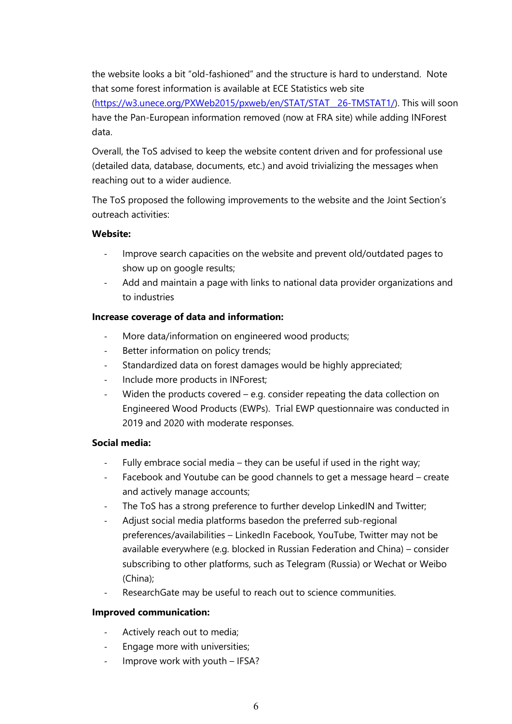the website looks a bit "old-fashioned" and the structure is hard to understand. Note that some forest information is available at ECE Statistics web site

[\(https://w3.unece.org/PXWeb2015/pxweb/en/STAT/STAT\\_\\_26-TMSTAT1/\)](https://w3.unece.org/PXWeb2015/pxweb/en/STAT/STAT__26-TMSTAT1/). This will soon have the Pan-European information removed (now at FRA site) while adding INForest data.

Overall, the ToS advised to keep the website content driven and for professional use (detailed data, database, documents, etc.) and avoid trivializing the messages when reaching out to a wider audience.

The ToS proposed the following improvements to the website and the Joint Section's outreach activities:

#### **Website:**

- Improve search capacities on the website and prevent old/outdated pages to show up on google results;
- Add and maintain a page with links to national data provider organizations and to industries

#### **Increase coverage of data and information:**

- More data/information on engineered wood products;
- Better information on policy trends;
- Standardized data on forest damages would be highly appreciated;
- Include more products in INForest;
- Widen the products covered e.g. consider repeating the data collection on Engineered Wood Products (EWPs). Trial EWP questionnaire was conducted in 2019 and 2020 with moderate responses.

## **Social media:**

- Fully embrace social media they can be useful if used in the right way;
- Facebook and Youtube can be good channels to get a message heard create and actively manage accounts;
- The ToS has a strong preference to further develop LinkedIN and Twitter;
- Adjust social media platforms basedon the preferred sub-regional preferences/availabilities – LinkedIn Facebook, YouTube, Twitter may not be available everywhere (e.g. blocked in Russian Federation and China) – consider subscribing to other platforms, such as Telegram (Russia) or Wechat or Weibo (China);
- ResearchGate may be useful to reach out to science communities.

## **Improved communication:**

- Actively reach out to media;
- Engage more with universities;
- Improve work with youth IFSA?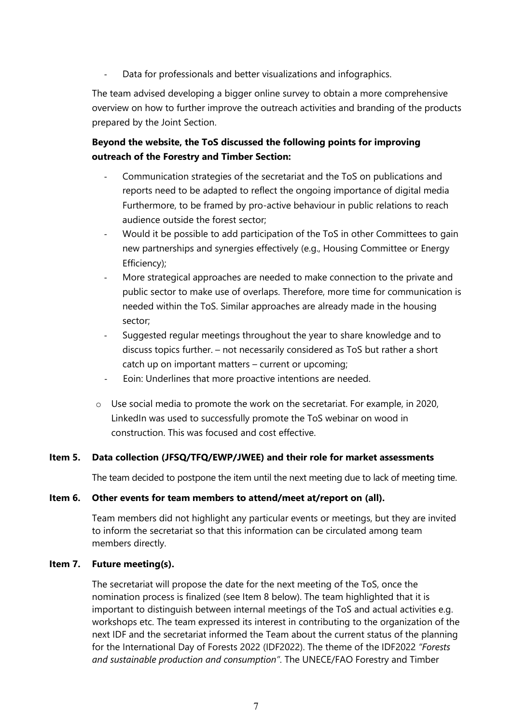Data for professionals and better visualizations and infographics.

The team advised developing a bigger online survey to obtain a more comprehensive overview on how to further improve the outreach activities and branding of the products prepared by the Joint Section.

# **Beyond the website, the ToS discussed the following points for improving outreach of the Forestry and Timber Section:**

- Communication strategies of the secretariat and the ToS on publications and reports need to be adapted to reflect the ongoing importance of digital media Furthermore, to be framed by pro-active behaviour in public relations to reach audience outside the forest sector;
- Would it be possible to add participation of the ToS in other Committees to gain new partnerships and synergies effectively (e.g., Housing Committee or Energy Efficiency);
- More strategical approaches are needed to make connection to the private and public sector to make use of overlaps. Therefore, more time for communication is needed within the ToS. Similar approaches are already made in the housing sector;
- Suggested regular meetings throughout the year to share knowledge and to discuss topics further. – not necessarily considered as ToS but rather a short catch up on important matters – current or upcoming;
- Eoin: Underlines that more proactive intentions are needed.
- o Use social media to promote the work on the secretariat. For example, in 2020, LinkedIn was used to successfully promote the ToS webinar on wood in construction. This was focused and cost effective.

## **Item 5. Data collection (JFSQ/TFQ/EWP/JWEE) and their role for market assessments**

The team decided to postpone the item until the next meeting due to lack of meeting time.

#### **Item 6. Other events for team members to attend/meet at/report on (all).**

Team members did not highlight any particular events or meetings, but they are invited to inform the secretariat so that this information can be circulated among team members directly.

#### **Item 7. Future meeting(s).**

The secretariat will propose the date for the next meeting of the ToS, once the nomination process is finalized (see Item 8 below). The team highlighted that it is important to distinguish between internal meetings of the ToS and actual activities e.g. workshops etc. The team expressed its interest in contributing to the organization of the next IDF and the secretariat informed the Team about the current status of the planning for the International Day of Forests 2022 (IDF2022). The theme of the IDF2022 *"Forests and sustainable production and consumption"*. The UNECE/FAO Forestry and Timber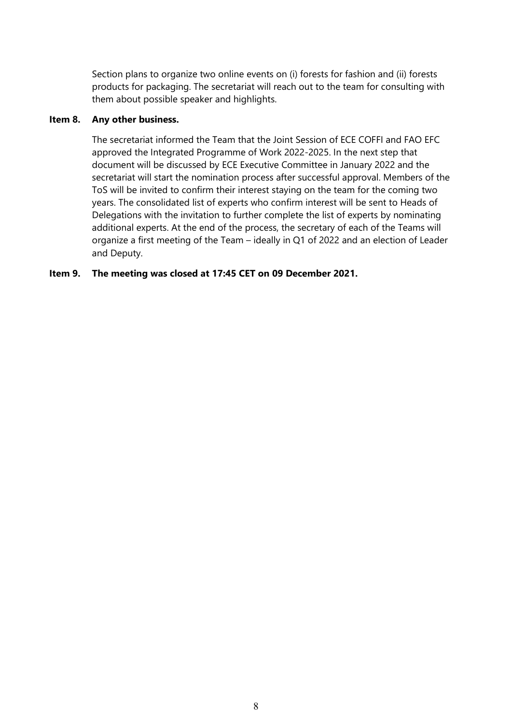Section plans to organize two online events on (i) forests for fashion and (ii) forests products for packaging. The secretariat will reach out to the team for consulting with them about possible speaker and highlights.

#### **Item 8. Any other business.**

The secretariat informed the Team that the Joint Session of ECE COFFI and FAO EFC approved the Integrated Programme of Work 2022-2025. In the next step that document will be discussed by ECE Executive Committee in January 2022 and the secretariat will start the nomination process after successful approval. Members of the ToS will be invited to confirm their interest staying on the team for the coming two years. The consolidated list of experts who confirm interest will be sent to Heads of Delegations with the invitation to further complete the list of experts by nominating additional experts. At the end of the process, the secretary of each of the Teams will organize a first meeting of the Team – ideally in Q1 of 2022 and an election of Leader and Deputy.

## **Item 9. The meeting was closed at 17:45 CET on 09 December 2021.**